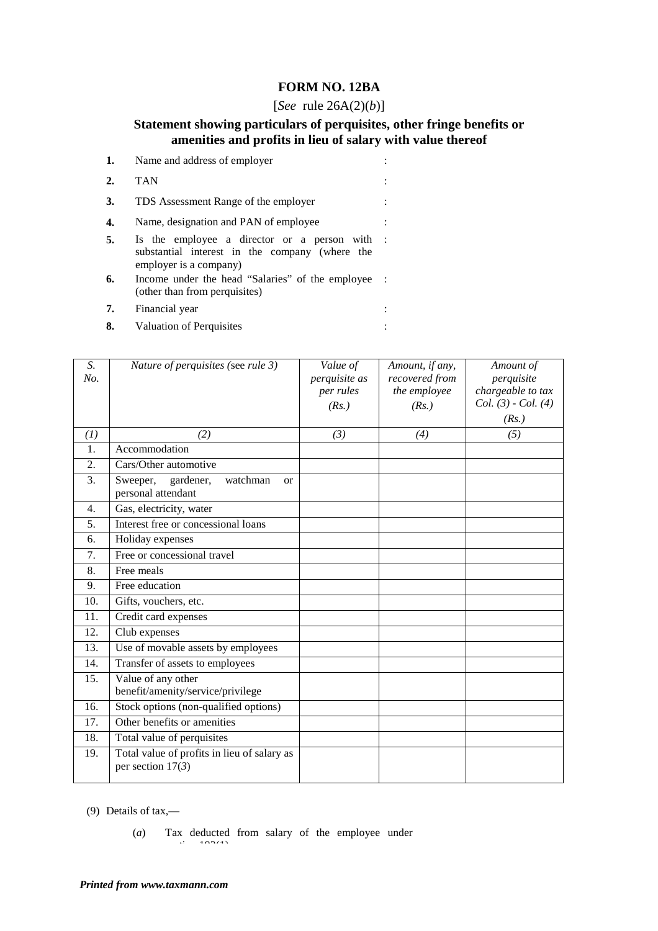## **FORM NO. 12BA**

## [*See* rule 26A(2)(*b*)]

## **Statement showing particulars of perquisites, other fringe benefits or amenities and profits in lieu of salary with value thereof**

|    | Name and address of employer                                                                                            |              |
|----|-------------------------------------------------------------------------------------------------------------------------|--------------|
| 2. | <b>TAN</b>                                                                                                              |              |
| 3. | TDS Assessment Range of the employer                                                                                    |              |
| 4. | Name, designation and PAN of employee                                                                                   |              |
| 5. | Is the employee a director or a person with<br>substantial interest in the company (where the<br>employer is a company) | $\mathbf{L}$ |
| 6. | Income under the head "Salaries" of the employee<br>(other than from perquisites)                                       |              |
| 7. | Financial year                                                                                                          |              |

**8.** Valuation of Perquisites :

| S.<br>No. | Nature of perquisites (see rule 3)                                   | Value of<br>perquisite as<br>per rules<br>(Rs.) | Amount, if any,<br>recovered from<br>the employee<br>(Rs.) | Amount of<br>perquisite<br>chargeable to tax<br>$Col. (3)$ - $Col. (4)$<br>(Rs.) |
|-----------|----------------------------------------------------------------------|-------------------------------------------------|------------------------------------------------------------|----------------------------------------------------------------------------------|
| (1)       | (2)                                                                  | (3)                                             | (4)                                                        | (5)                                                                              |
| 1.        | Accommodation                                                        |                                                 |                                                            |                                                                                  |
| 2.        | Cars/Other automotive                                                |                                                 |                                                            |                                                                                  |
| 3.        | gardener,<br>Sweeper,<br>watchman<br><b>or</b><br>personal attendant |                                                 |                                                            |                                                                                  |
| 4.        | Gas, electricity, water                                              |                                                 |                                                            |                                                                                  |
| 5.        | Interest free or concessional loans                                  |                                                 |                                                            |                                                                                  |
| 6.        | Holiday expenses                                                     |                                                 |                                                            |                                                                                  |
| 7.        | Free or concessional travel                                          |                                                 |                                                            |                                                                                  |
| 8.        | Free meals                                                           |                                                 |                                                            |                                                                                  |
| 9.        | Free education                                                       |                                                 |                                                            |                                                                                  |
| 10.       | Gifts, vouchers, etc.                                                |                                                 |                                                            |                                                                                  |
| 11.       | Credit card expenses                                                 |                                                 |                                                            |                                                                                  |
| 12.       | Club expenses                                                        |                                                 |                                                            |                                                                                  |
| 13.       | Use of movable assets by employees                                   |                                                 |                                                            |                                                                                  |
| 14.       | Transfer of assets to employees                                      |                                                 |                                                            |                                                                                  |
| 15.       | Value of any other<br>benefit/amenity/service/privilege              |                                                 |                                                            |                                                                                  |
| 16.       | Stock options (non-qualified options)                                |                                                 |                                                            |                                                                                  |
| 17.       | Other benefits or amenities                                          |                                                 |                                                            |                                                                                  |
| 18.       | Total value of perquisites                                           |                                                 |                                                            |                                                                                  |
| 19.       | Total value of profits in lieu of salary as<br>per section $17(3)$   |                                                 |                                                            |                                                                                  |

(9) Details of tax,—

(*a*) Tax deducted from salary of the employee under  $102(1)$